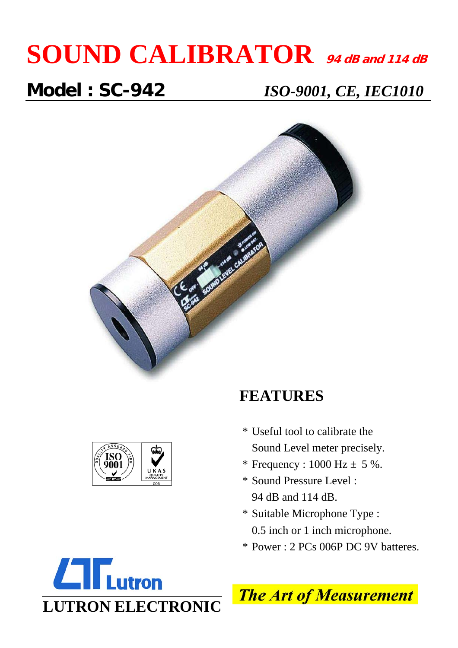# **SOUND CALIBRATOR 94 dB and 114 dB**

**Model : SC-942** *ISO-9001, CE, IEC1010*





### **FEATURES**

- \* Useful tool to calibrate the Sound Level meter precisely.
- \* Frequency :  $1000 \text{ Hz} \pm 5 \%$ .
- \* Sound Pressure Level : 94 dB and 114 dB.
- \* Suitable Microphone Type : 0.5 inch or 1 inch microphone.
- \* Power : 2 PCs 006P DC 9V batteres.



**The Art of Measurement**